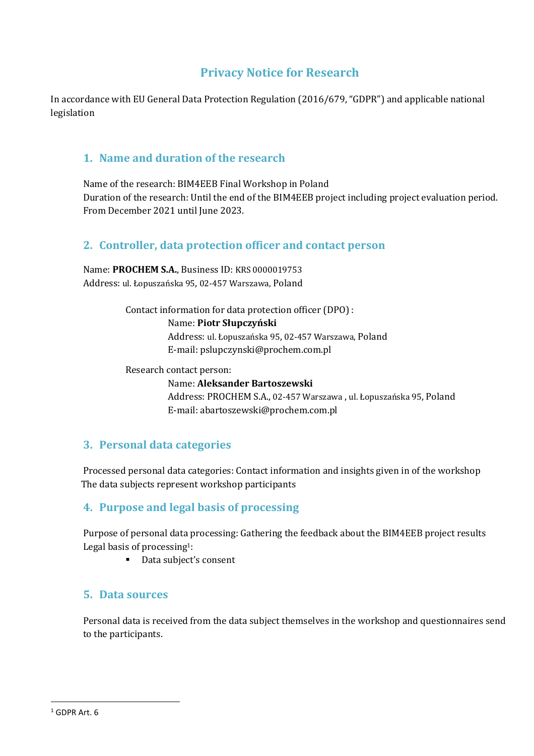# **Privacy Notice for Research**

In accordance with EU General Data Protection Regulation (2016/679, "GDPR") and applicable national legislation

### **1. Name and duration of the research**

Name of the research: BIM4EEB Final Workshop in Poland Duration of the research: Until the end of the BIM4EEB project including project evaluation period. From December 2021 until June 2023.

## **2. Controller, data protection officer and contact person**

Name: **PROCHEM S.A.**, Business ID: KRS 0000019753 Address: ul. Łopuszańska 95, 02-457 Warszawa, Poland

Contact information for data protection officer (DPO) :

Name: **Piotr Słupczyński**

Address: ul. Łopuszańska 95, 02-457 Warszawa, Poland E-mail: pslupczynski@prochem.com.pl

Research contact person:

Name: **Aleksander Bartoszewski** Address: PROCHEM S.A., 02-457 Warszawa , ul. Łopuszańska 95, Poland E-mail: abartoszewski@prochem.com.pl

### **3. Personal data categories**

Processed personal data categories: Contact information and insights given in of the workshop The data subjects represent workshop participants

### **4. Purpose and legal basis of processing**

Purpose of personal data processing: Gathering the feedback about the BIM4EEB project results Legal basis of processing1:

■ Data subject's consent

### **5. Data sources**

Personal data is received from the data subject themselves in the workshop and questionnaires send to the participants.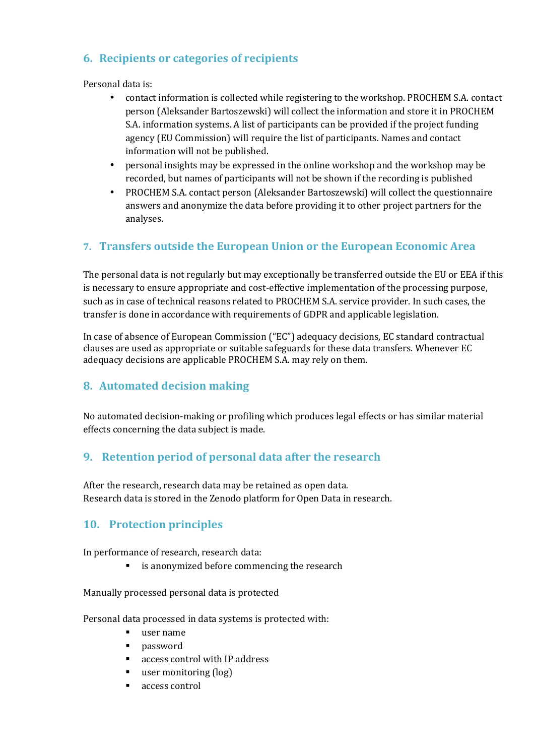## **6. Recipients or categories of recipients**

Personal data is:

- contact information is collected while registering to the workshop. PROCHEM S.A. contact person (Aleksander Bartoszewski) will collect the information and store it in PROCHEM S.A. information systems. A list of participants can be provided if the project funding agency (EU Commission) will require the list of participants. Names and contact information will not be published.
- personal insights may be expressed in the online workshop and the workshop may be recorded, but names of participants will not be shown if the recording is published
- PROCHEM S.A. contact person (Aleksander Bartoszewski) will collect the questionnaire answers and anonymize the data before providing it to other project partners for the analyses.

## **7. Transfers outside the European Union or the European Economic Area**

The personal data is not regularly but may exceptionally be transferred outside the EU or EEA if this is necessary to ensure appropriate and cost-effective implementation of the processing purpose, such as in case of technical reasons related to PROCHEM S.A. service provider. In such cases, the transfer is done in accordance with requirements of GDPR and applicable legislation.

In case of absence of European Commission ("EC") adequacy decisions, EC standard contractual clauses are used as appropriate or suitable safeguards for these data transfers. Whenever EC adequacy decisions are applicable PROCHEM S.A. may rely on them.

### **8. Automated decision making**

No automated decision-making or profiling which produces legal effects or has similar material effects concerning the data subject is made.

## **9. Retention period of personal data after the research**

 After the research, research data may be retained as open data. Research data is stored in the Zenodo platform for Open Data in research.

## **10. Protection principles**

In performance of research, research data:

**EXECUTE:** is anonymized before commencing the research

Manually processed personal data is protected

Personal data processed in data systems is protected with:

- user name
- password
- access control with IP address
- user monitoring (log)
- access control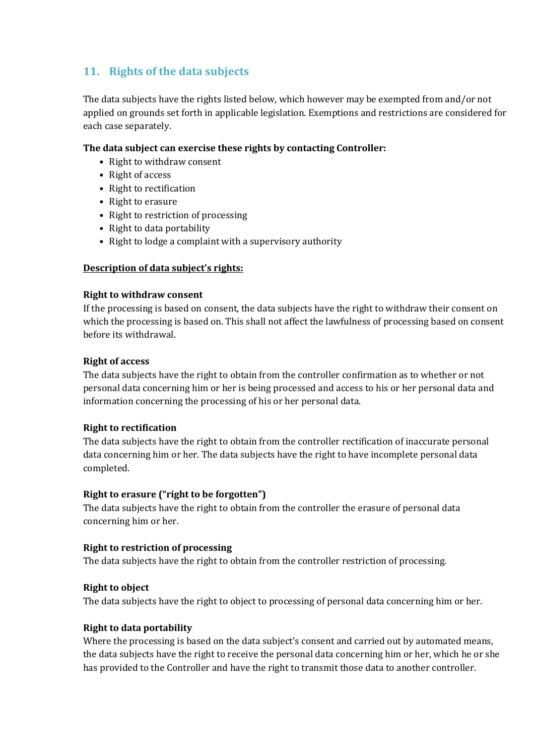# **11. Rights of the data subjects**

The data subjects have the rights listed below, which however may be exempted from and/or not applied on grounds set forth in applicable legislation. Exemptions and restrictions are considered for each case separately.

#### **The data subject can exercise these rights by contacting Controller:**

- Right to withdraw consent
- Right of access
- Right to rectification
- Right to erasure
- Right to restriction of processing
- Right to data portability
- Right to lodge a complaint with a supervisory authority

#### **Description of data subject's rights:**

#### **Right to withdraw consent**

If the processing is based on consent, the data subjects have the right to withdraw their consent on which the processing is based on. This shall not affect the lawfulness of processing based on consent before its withdrawal.

#### **Right of access**

The data subjects have the right to obtain from the controller confirmation as to whether or not personal data concerning him or her is being processed and access to his or her personal data and information concerning the processing of his or her personal data.

#### **Right to rectification**

The data subjects have the right to obtain from the controller rectification of inaccurate personal data concerning him or her. The data subjects have the right to have incomplete personal data completed.

#### **Right to erasure ("right to be forgotten")**

The data subjects have the right to obtain from the controller the erasure of personal data concerning him or her.

#### **Right to restriction of processing**

The data subjects have the right to obtain from the controller restriction of processing.

#### **Right to object**

The data subjects have the right to object to processing of personal data concerning him or her.

#### **Right to data portability**

Where the processing is based on the data subject's consent and carried out by automated means, the data subjects have the right to receive the personal data concerning him or her, which he or she has provided to the Controller and have the right to transmit those data to another controller.